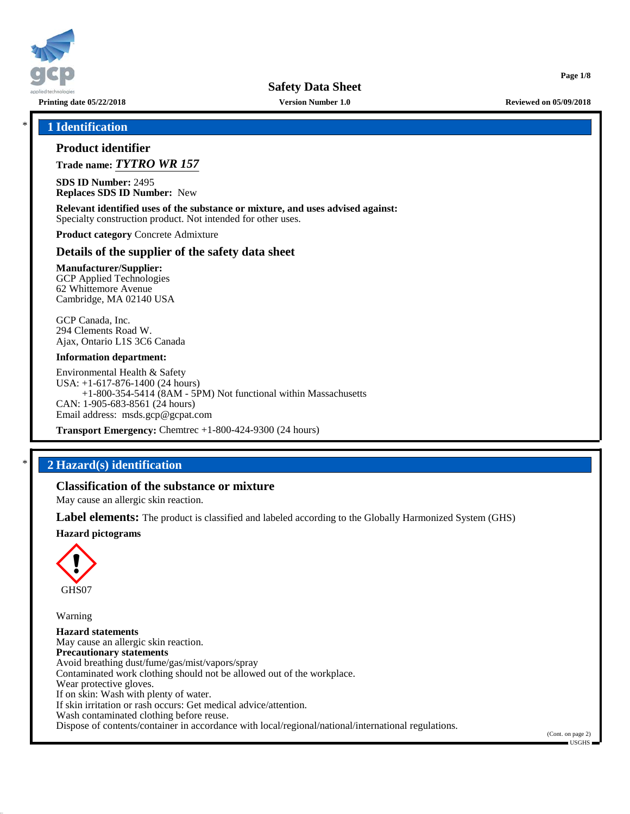

**Printing date 05/22/2018 Version Number 1.0 Reviewed on 05/09/2018**

**Page 1/8**

# \* **1 Identification**

## **Product identifier**

**Trade name:** *TYTRO WR 157*

**SDS ID Number:** 2495 **Replaces SDS ID Number:** New

**Relevant identified uses of the substance or mixture, and uses advised against:** Specialty construction product. Not intended for other uses.

**Product category** Concrete Admixture

### **Details of the supplier of the safety data sheet**

**Manufacturer/Supplier:** GCP Applied Technologies 62 Whittemore Avenue Cambridge, MA 02140 USA

GCP Canada, Inc. 294 Clements Road W. Ajax, Ontario L1S 3C6 Canada

#### **Information department:**

Environmental Health & Safety USA: +1-617-876-1400 (24 hours) +1-800-354-5414 (8AM - 5PM) Not functional within Massachusetts CAN: 1-905-683-8561 (24 hours) Email address: msds.gcp@gcpat.com

**Transport Emergency:** Chemtrec +1-800-424-9300 (24 hours)

# \* **2 Hazard(s) identification**

# **Classification of the substance or mixture**

May cause an allergic skin reaction.

**Label elements:** The product is classified and labeled according to the Globally Harmonized System (GHS)

**Hazard pictograms**



Warning

**Hazard statements** May cause an allergic skin reaction. **Precautionary statements** Avoid breathing dust/fume/gas/mist/vapors/spray Contaminated work clothing should not be allowed out of the workplace. Wear protective gloves. If on skin: Wash with plenty of water. If skin irritation or rash occurs: Get medical advice/attention. Wash contaminated clothing before reuse. Dispose of contents/container in accordance with local/regional/national/international regulations.

(Cont. on page 2) USGHS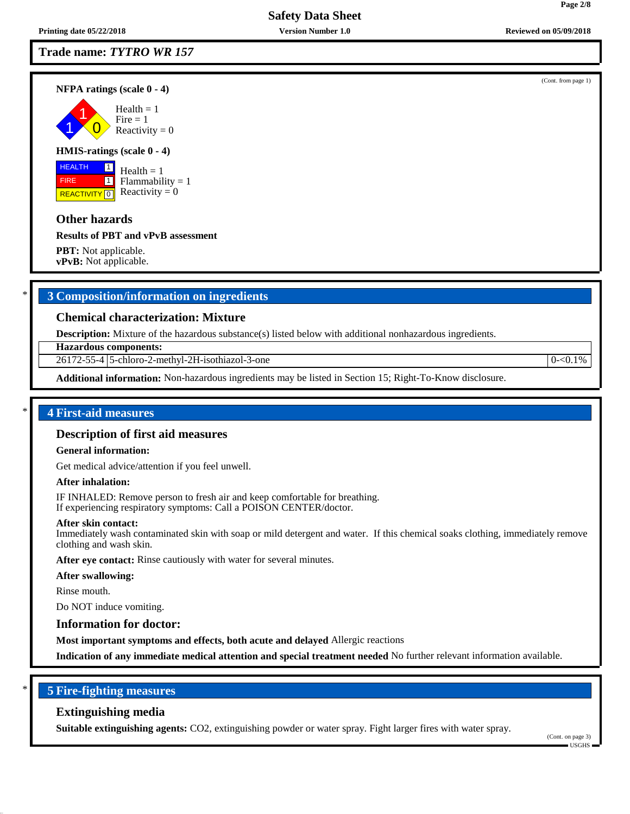## **Trade name:** *TYTRO WR 157*

**NFPA ratings (scale 0 - 4)**

1 1  $\overline{0}$  $Fire = 1$ Reactivity  $= 0$ 

#### **HMIS-ratings (scale 0 - 4)**

 HEALTH FIRE **REACTIVITY** 0  $\boxed{1}$  $\boxed{1}$ 

 $Health = 1$  $Flammability = 1$ Reactivity  $= 0$ 

### **Other hazards**

#### **Results of PBT and vPvB assessment**

**PBT:** Not applicable. **vPvB:** Not applicable.

# \* **3 Composition/information on ingredients**

### **Chemical characterization: Mixture**

**Description:** Mixture of the hazardous substance(s) listed below with additional nonhazardous ingredients.

**Hazardous components:**

26172-55-4 5-chloro-2-methyl-2H-isothiazol-3-one 0-<0.1% 0-<0.1%

**Additional information:** Non-hazardous ingredients may be listed in Section 15; Right-To-Know disclosure.

### \* **4 First-aid measures**

#### **Description of first aid measures**

#### **General information:**

Get medical advice/attention if you feel unwell.

#### **After inhalation:**

IF INHALED: Remove person to fresh air and keep comfortable for breathing. If experiencing respiratory symptoms: Call a POISON CENTER/doctor.

#### **After skin contact:**

Immediately wash contaminated skin with soap or mild detergent and water. If this chemical soaks clothing, immediately remove clothing and wash skin.

**After eye contact:** Rinse cautiously with water for several minutes.

#### **After swallowing:**

Rinse mouth.

Do NOT induce vomiting.

#### **Information for doctor:**

**Most important symptoms and effects, both acute and delayed** Allergic reactions

**Indication of any immediate medical attention and special treatment needed** No further relevant information available.

# \* **5 Fire-fighting measures**

### **Extinguishing media**

**Suitable extinguishing agents:** CO2, extinguishing powder or water spray. Fight larger fires with water spray.

(Cont. on page 3)  $\blacksquare$  USGHS  $\blacksquare$ 

(Cont. from page 1)

 $Health = 1$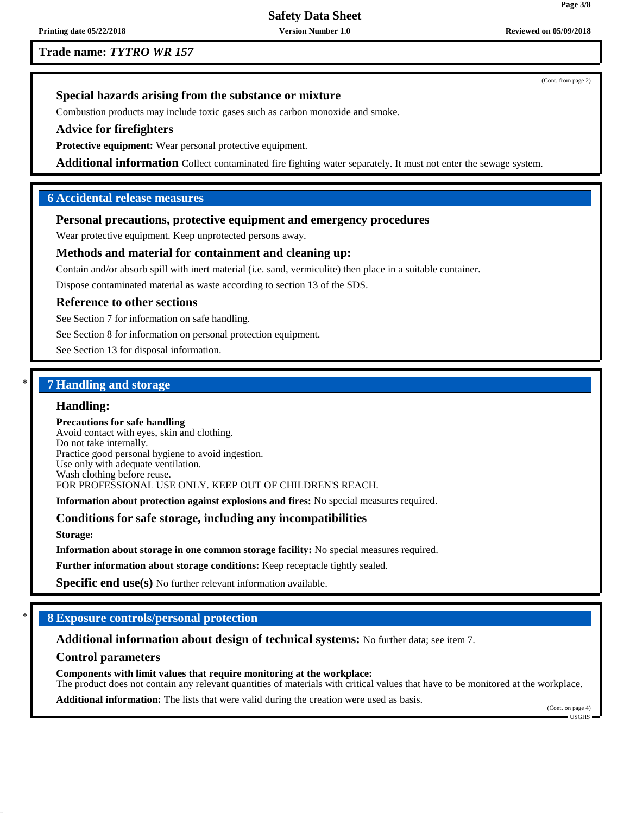**Trade name:** *TYTRO WR 157*

**Printing date 05/22/2018 Version Number 1.0 Reviewed on 05/09/2018**

(Cont. from page 2)

# **Special hazards arising from the substance or mixture**

Combustion products may include toxic gases such as carbon monoxide and smoke.

### **Advice for firefighters**

**Protective equipment:** Wear personal protective equipment.

**Additional information** Collect contaminated fire fighting water separately. It must not enter the sewage system.

# **6 Accidental release measures**

# **Personal precautions, protective equipment and emergency procedures**

Wear protective equipment. Keep unprotected persons away.

# **Methods and material for containment and cleaning up:**

Contain and/or absorb spill with inert material (i.e. sand, vermiculite) then place in a suitable container.

Dispose contaminated material as waste according to section 13 of the SDS.

#### **Reference to other sections**

See Section 7 for information on safe handling.

See Section 8 for information on personal protection equipment.

See Section 13 for disposal information.

# \* **7 Handling and storage**

#### **Handling:**

**Precautions for safe handling** Avoid contact with eyes, skin and clothing. Do not take internally. Practice good personal hygiene to avoid ingestion. Use only with adequate ventilation. Wash clothing before reuse. FOR PROFESSIONAL USE ONLY. KEEP OUT OF CHILDREN'S REACH.

**Information about protection against explosions and fires:** No special measures required.

# **Conditions for safe storage, including any incompatibilities**

**Storage:**

**Information about storage in one common storage facility:** No special measures required.

**Further information about storage conditions:** Keep receptacle tightly sealed.

**Specific end use(s)** No further relevant information available.

### \* **8 Exposure controls/personal protection**

**Additional information about design of technical systems:** No further data; see item 7.

#### **Control parameters**

**Components with limit values that require monitoring at the workplace:** The product does not contain any relevant quantities of materials with critical values that have to be monitored at the workplace.

**Additional information:** The lists that were valid during the creation were used as basis.

(Cont. on page 4) USGHS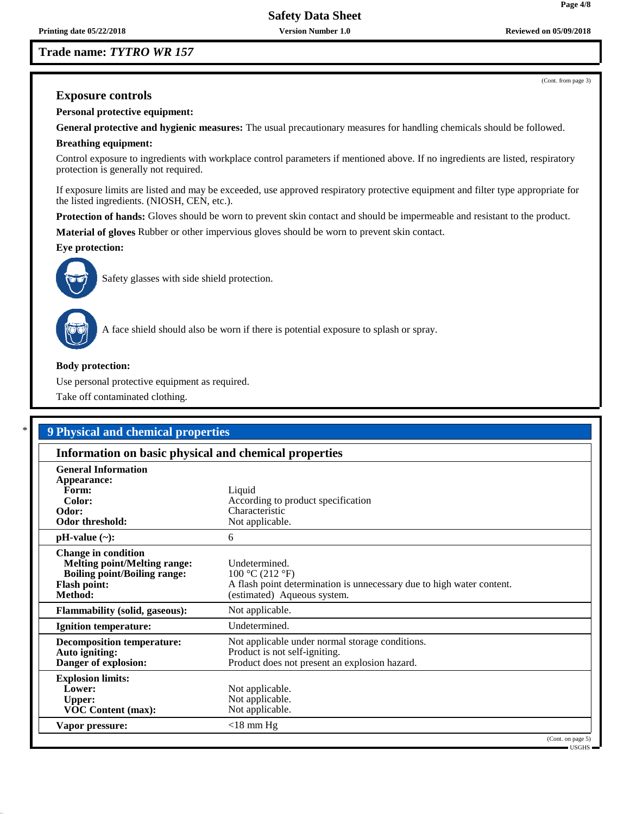# **Trade name:** *TYTRO WR 157*

(Cont. from page 3)

**Page 4/8**

# **Exposure controls**

**Personal protective equipment:**

**General protective and hygienic measures:** The usual precautionary measures for handling chemicals should be followed.

# **Breathing equipment:**

Control exposure to ingredients with workplace control parameters if mentioned above. If no ingredients are listed, respiratory protection is generally not required.

If exposure limits are listed and may be exceeded, use approved respiratory protective equipment and filter type appropriate for the listed ingredients. (NIOSH, CEN, etc.).

**Protection of hands:** Gloves should be worn to prevent skin contact and should be impermeable and resistant to the product.

**Material of gloves** Rubber or other impervious gloves should be worn to prevent skin contact.

**Eye protection:**



Safety glasses with side shield protection.



A face shield should also be worn if there is potential exposure to splash or spray.

### **Body protection:**

Use personal protective equipment as required.

Take off contaminated clothing.

# \* **9 Physical and chemical properties**

| Information on basic physical and chemical properties                                                                                      |                                                                                                                                          |  |  |  |
|--------------------------------------------------------------------------------------------------------------------------------------------|------------------------------------------------------------------------------------------------------------------------------------------|--|--|--|
| <b>General Information</b><br>Appearance:<br>Form:<br>Color:<br>Odor:<br><b>Odor threshold:</b>                                            | Liquid<br>According to product specification<br>Characteristic<br>Not applicable.                                                        |  |  |  |
| $pH-value$ (~):                                                                                                                            | 6                                                                                                                                        |  |  |  |
| <b>Change in condition</b><br><b>Melting point/Melting range:</b><br><b>Boiling point/Boiling range:</b><br><b>Flash point:</b><br>Method: | Undetermined.<br>100 °C (212 °F)<br>A flash point determination is unnecessary due to high water content.<br>(estimated) Aqueous system. |  |  |  |
| <b>Flammability (solid, gaseous):</b>                                                                                                      | Not applicable.                                                                                                                          |  |  |  |
| <b>Ignition temperature:</b>                                                                                                               | Undetermined.                                                                                                                            |  |  |  |
| <b>Decomposition temperature:</b><br>Auto igniting:<br>Danger of explosion:                                                                | Not applicable under normal storage conditions.<br>Product is not self-igniting.<br>Product does not present an explosion hazard.        |  |  |  |
| <b>Explosion limits:</b><br>Lower:<br><b>Upper:</b><br><b>VOC Content (max):</b>                                                           | Not applicable.<br>Not applicable.<br>Not applicable.                                                                                    |  |  |  |
| Vapor pressure:                                                                                                                            | $<$ 18 mm Hg<br>(Cont. on page 5)                                                                                                        |  |  |  |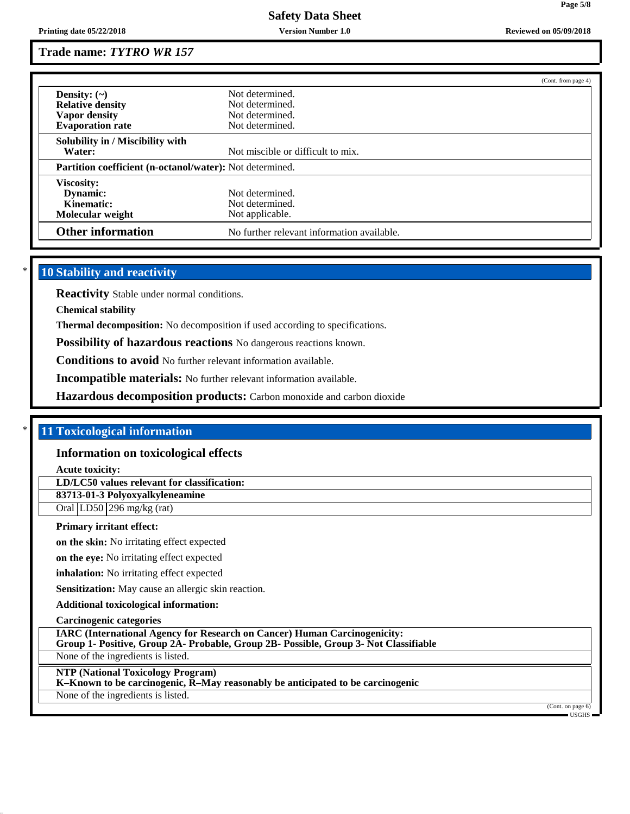# **Trade name:** *TYTRO WR 157*

|                                                          |                                            | (Cont. from page 4) |  |
|----------------------------------------------------------|--------------------------------------------|---------------------|--|
| Density: $(\sim)$                                        | Not determined.                            |                     |  |
| <b>Relative density</b>                                  | Not determined.                            |                     |  |
| Vapor density                                            | Not determined.                            |                     |  |
| <b>Evaporation rate</b>                                  | Not determined.                            |                     |  |
| Solubility in / Miscibility with                         |                                            |                     |  |
| Water:                                                   | Not miscible or difficult to mix.          |                     |  |
| Partition coefficient (n-octanol/water): Not determined. |                                            |                     |  |
| Viscosity:                                               |                                            |                     |  |
| Dynamic:                                                 | Not determined.                            |                     |  |
| Kinematic:                                               | Not determined.                            |                     |  |
| Molecular weight                                         | Not applicable.                            |                     |  |
| <b>Other information</b>                                 | No further relevant information available. |                     |  |

# **10 Stability and reactivity**

**Reactivity** Stable under normal conditions.

**Chemical stability**

**Thermal decomposition:** No decomposition if used according to specifications.

**Possibility of hazardous reactions** No dangerous reactions known.

**Conditions to avoid** No further relevant information available.

**Incompatible materials:** No further relevant information available.

**Hazardous decomposition products:** Carbon monoxide and carbon dioxide

### \* **11 Toxicological information**

#### **Information on toxicological effects**

**Acute toxicity:**

**LD/LC50 values relevant for classification:**

**83713-01-3 Polyoxyalkyleneamine**

Oral LD50 296 mg/kg (rat)

#### **Primary irritant effect:**

**on the skin:** No irritating effect expected

**on the eye:** No irritating effect expected

**inhalation:** No irritating effect expected

**Sensitization:** May cause an allergic skin reaction.

### **Additional toxicological information:**

**Carcinogenic categories**

**IARC (International Agency for Research on Cancer) Human Carcinogenicity:**

**Group 1- Positive, Group 2A- Probable, Group 2B- Possible, Group 3- Not Classifiable**

None of the ingredients is listed.

**NTP (National Toxicology Program)**

**K–Known to be carcinogenic, R–May reasonably be anticipated to be carcinogenic**

None of the ingredients is listed.

(Cont. on page 6) USGHS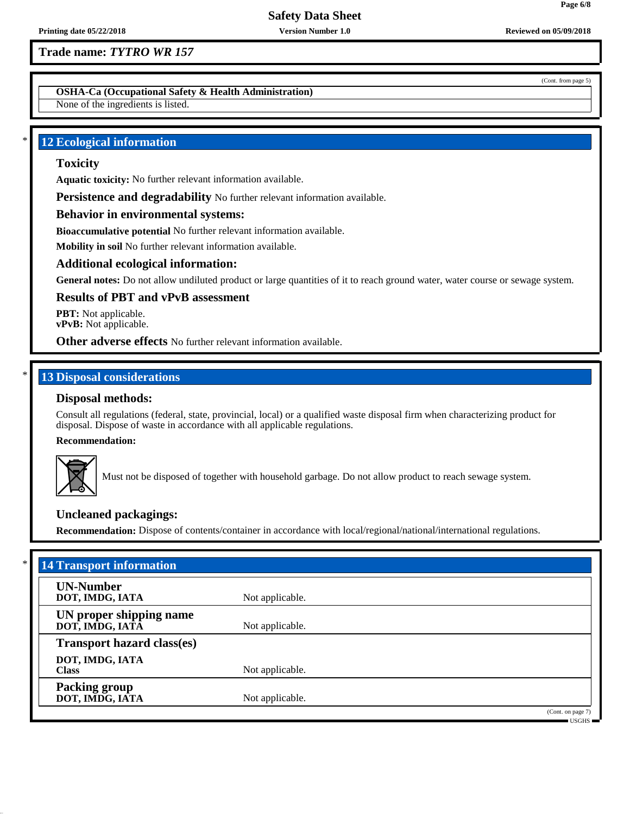# **Trade name:** *TYTRO WR 157*

**OSHA-Ca (Occupational Safety & Health Administration)**

None of the ingredients is listed.

# **12 Ecological information**

# **Toxicity**

**Aquatic toxicity:** No further relevant information available.

**Persistence and degradability** No further relevant information available.

## **Behavior in environmental systems:**

**Bioaccumulative potential** No further relevant information available.

**Mobility in soil** No further relevant information available.

### **Additional ecological information:**

**General notes:** Do not allow undiluted product or large quantities of it to reach ground water, water course or sewage system.

### **Results of PBT and vPvB assessment**

**PBT:** Not applicable. **vPvB:** Not applicable.

**Other adverse effects** No further relevant information available.

# **13 Disposal considerations**

# **Disposal methods:**

Consult all regulations (federal, state, provincial, local) or a qualified waste disposal firm when characterizing product for disposal. Dispose of waste in accordance with all applicable regulations.

**Recommendation:**



Must not be disposed of together with household garbage. Do not allow product to reach sewage system.

# **Uncleaned packagings:**

**Recommendation:** Dispose of contents/container in accordance with local/regional/national/international regulations.

| <b>UN-Number</b>                           |                 |  |
|--------------------------------------------|-----------------|--|
| DOT, IMDG, IATA                            | Not applicable. |  |
| UN proper shipping name<br>DOT, IMDG, IATĀ | Not applicable. |  |
| <b>Transport hazard class(es)</b>          |                 |  |
| DOT, IMDG, IATA<br><b>Class</b>            | Not applicable. |  |
| <b>Packing group</b><br>DOT, IMDG, IATA    | Not applicable. |  |

USGHS

**Page 6/8**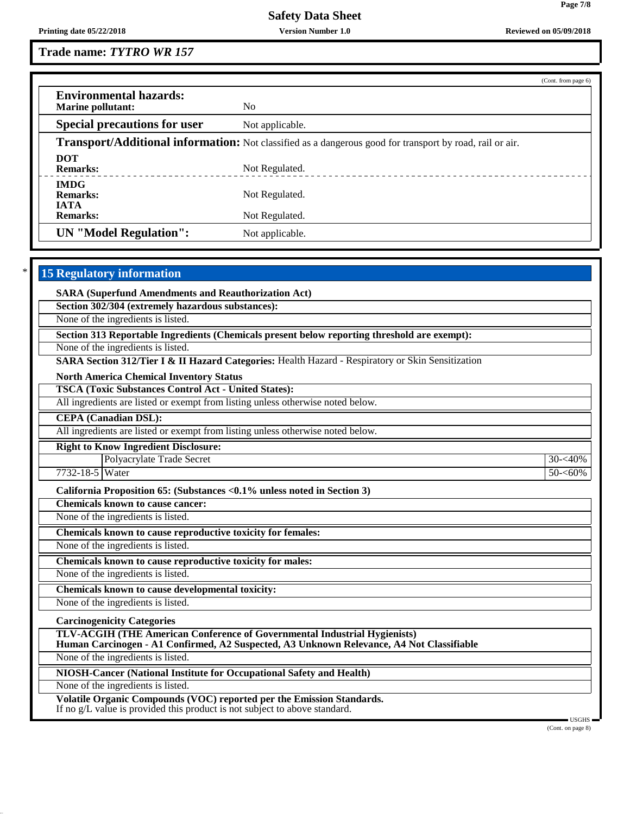**Page 7/8**

**Trade name:** *TYTRO WR 157*

|                                                                                                                 |                                                         | (Cont. from page 6) |  |  |
|-----------------------------------------------------------------------------------------------------------------|---------------------------------------------------------|---------------------|--|--|
| <b>Environmental hazards:</b><br><b>Marine pollutant:</b>                                                       | N <sub>0</sub>                                          |                     |  |  |
| <b>Special precautions for user</b>                                                                             | Not applicable.                                         |                     |  |  |
| <b>Transport/Additional information:</b> Not classified as a dangerous good for transport by road, rail or air. |                                                         |                     |  |  |
| <b>DOT</b><br><b>Remarks:</b>                                                                                   | Not Regulated.<br>------------------------------------- |                     |  |  |
| <b>IMDG</b><br><b>Remarks:</b><br><b>IATA</b>                                                                   | Not Regulated.                                          |                     |  |  |
| <b>Remarks:</b>                                                                                                 | Not Regulated.                                          |                     |  |  |
| <b>UN</b> "Model Regulation":                                                                                   | Not applicable.                                         |                     |  |  |

# **15 Regulatory information**

**SARA (Superfund Amendments and Reauthorization Act)**

**Section 302/304 (extremely hazardous substances):**

None of the ingredients is listed.

**Section 313 Reportable Ingredients (Chemicals present below reporting threshold are exempt):**

None of the ingredients is listed.

**SARA Section 312/Tier I & II Hazard Categories:** Health Hazard - Respiratory or Skin Sensitization

**North America Chemical Inventory Status**

**TSCA (Toxic Substances Control Act - United States):**

All ingredients are listed or exempt from listing unless otherwise noted below.

**CEPA (Canadian DSL):**

All ingredients are listed or exempt from listing unless otherwise noted below.

**Right to Know Ingredient Disclosure:**

Polyacrylate Trade Secret 30- $\leq 30 \leq 40\%$ 7732-18-5 Water 50-<60%

**California Proposition 65: (Substances <0.1% unless noted in Section 3)**

**Chemicals known to cause cancer:**

None of the ingredients is listed.

**Chemicals known to cause reproductive toxicity for females:**

None of the ingredients is listed.

**Chemicals known to cause reproductive toxicity for males:**

None of the ingredients is listed.

**Chemicals known to cause developmental toxicity:**

None of the ingredients is listed.

**Carcinogenicity Categories**

**TLV-ACGIH (THE American Conference of Governmental Industrial Hygienists)**

**Human Carcinogen - A1 Confirmed, A2 Suspected, A3 Unknown Relevance, A4 Not Classifiable**

None of the ingredients is listed.

**NIOSH-Cancer (National Institute for Occupational Safety and Health)**

None of the ingredients is listed.

**Volatile Organic Compounds (VOC) reported per the Emission Standards.**

If no g/L value is provided this product is not subject to above standard.